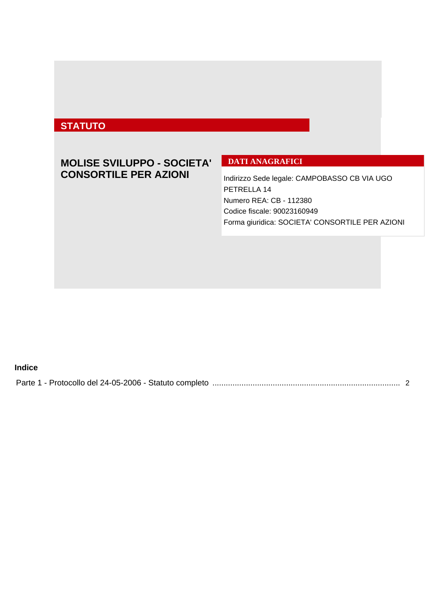# **STATUTO**

## **MOLISE SVILUPPO - SOCIETA' CONSORTILE PER AZIONI**

## **DATI ANAGRAFICI**

Indirizzo Sede legale: CAMPOBASSO CB VIA UGO PETRELLA 14 Numero REA: CB - 112380 Codice fiscale: 90023160949 Forma giuridica: SOCIETA' CONSORTILE PER AZIONI

## **Indice**

|--|--|--|--|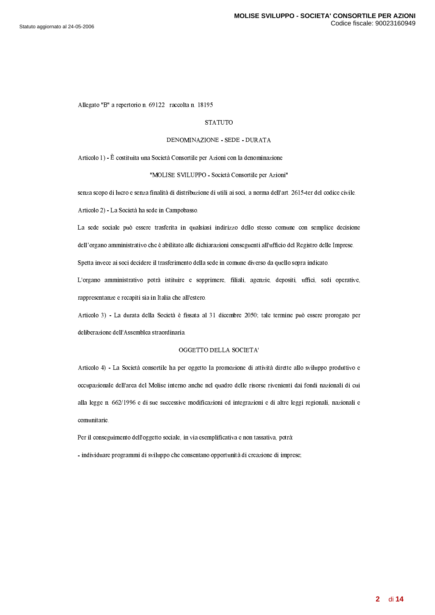<span id="page-1-0"></span>Allegato "B" a repertorio n. 69122 raccolta n. 18195

#### **STATUTO**

## DENOMINAZIONE - SEDE - DURATA

Articolo 1) - È costituita una Società Consortile per Azioni con la denominazione

#### "MOLISE SVILUPPO - Società Consortile per Azioni"

senza scopo di lucro e senza finalità di distribuzione di utili ai soci, a norma dell'art. 2615-ter del codice civile.

Articolo 2) - La Società ha sede in Campobasso.

La sede sociale può essere trasferita in qualsiasi indirizzo dello stesso comune con semplice decisione dell'organo amministrativo che è abilitato alle dichiarazioni conseguenti all'ufficio del Registro delle Imprese.

Spetta invece ai soci decidere il trasferimento della sede in comune diverso da quello sopra indicato.

L'organo amministrativo potrà istituire e sopprimere, filiali, agenzie, depositi, uffici, sedi operative, rappresentanze e recapiti sia in Italia che all'estero.

Articolo 3) - La durata della Società è fissata al 31 dicembre 2050; tale termine può essere prorogato per deliberazione dell'Assemblea straordinaria.

### OGGETTO DELLA SOCIETA'

Articolo 4) - La Società consortile ha per oggetto la promozione di attività dirette allo sviluppo produttivo e occupazionale dell'area del Molise interno anche nel quadro delle risorse rivenienti dai fondi nazionali di cui alla legge n. 662/1996 e di sue successive modificazioni ed integrazioni e di altre leggi regionali, nazionali e comunitarie.

Per il conseguimento dell'oggetto sociale, in via esemplificativa e non tassativa, potrà:

- individuare programmi di sviluppo che consentano opportunità di creazione di imprese;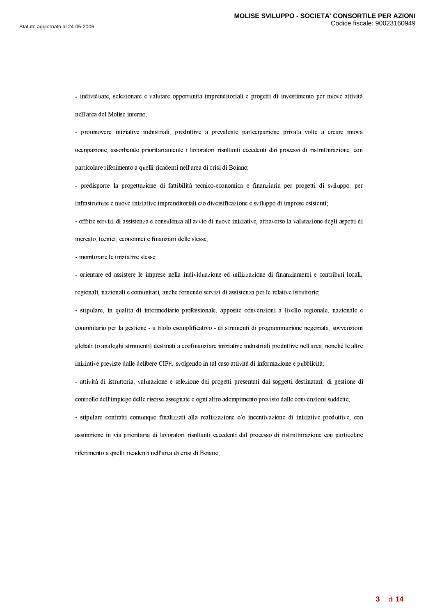- individuare, selezionare e valutare opportunità imprenditoriali e progetti di investimento per nuove attività  $\sim$  -8  $\sim$  -8  $\sim$  -8  $\sim$  -8  $\sim$  -8  $\sim$  -8  $\sim$  -8  $\sim$  -8  $\sim$  -8  $\sim$  -8  $\sim$  -8  $\sim$  -8  $\sim$  -8  $\sim$  -8  $\sim$  -8  $\sim$  -8  $\sim$  -8  $\sim$  -8  $\sim$  -8  $\sim$  -8  $\sim$  -8  $\sim$  -8  $\sim$  -8  $\sim$  -8  $\sim$  -8  $\sim$  -8  $\sim$  -8  $\sim$ 

- promuovere iniziative industriali, produttive a prevalente partecipazione privata volte a creare nuova occupazione, assorbendo prioritariamente i lavoratori risultanti eccedenti dai processi di ristrutturazione, con  $\mathcal{L}$  . The contract of the contract of the contract of the contract of the contract of the contract of the contract of the contract of the contract of the contract of the contract of the contract of the contract of th

- predisporre la progettazione di fattibilità tecnico-economica e finanziaria per progetti di sviluppo, per  $\alpha$  . The contract of the contract of the contract of the contract of the contract of the contract of the contract of the contract of the contract of the contract of the contract of the contract of the contract of the co

. And the set of the set of the set of the set of the set of the set of the set of the set of the set of the set of the set of the set of the set of the set of the set of the set of the set of the set of the set of the se  $\cdots$  . The first contract of the contract of the contract of the contract of the contract of the contract of the contract of the contract of the contract of the contract of the contract of the contract of the contract of

) 7 %%5@-0 <sup>0</sup> 0 <sup>U</sup>

- orientare ed assistere le imprese nella individuazione ed utilizzazione di finanziamenti e contributi locali, regionali, nazionali e comunitari, anche fornendo servizi di assistenza per le relative istruttorie;

 $\blacksquare$  ) and  $\blacksquare$  . The set of the set of the set of the set of the set of the set of the set of the set of the set of the set of the set of the set of the set of the set of the set of the set of the set of the set of t comunitario per la gestione - a titolo esemplificativo - di strumenti di programmazione negoziata, sovvenzioni . The contract of the contract of the contract of the contract of the contract of the contract of the contract of the contract of the contract of the contract of the contract of the contract of the contract of the contrac 5@,
@ 0%6 %6 =-4&;"> 0@62 0@3-6 <7 5%,
1== 3U

) @3S6- 01>@15JJ05J6%
%
 0-6-0%6 0 U,6% 0-6 . A set of the set of the set of the set of the set of the set of the set of the set of the set of the set of the set of the set of the set of the set of the set of the set of the set of the set of the set of the set of t ) 0
182721H1S< 552 ' 555SX\*@58625@S
61@>-

assunzione in via prioritaria di lavoratori risultanti eccedenti dal processo di ristrutturazione con particolare  $\mathcal{L}$  . The contract of the contract of the contract of the contract of the contract of the contract of the contract of the contract of the contract of the contract of the contract of the contract of the contract of th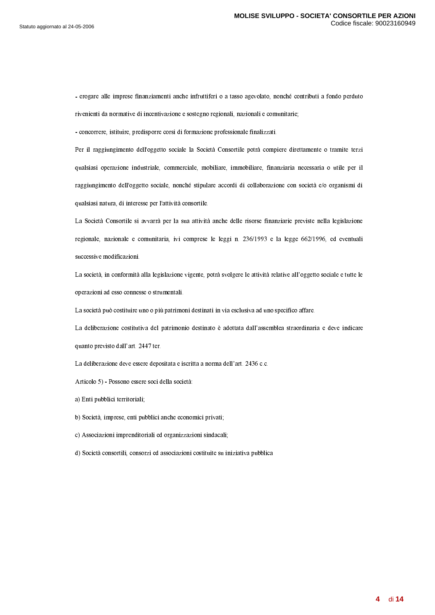- erogare alle imprese finanziamenti anche infruttiferi o a tasso agevolato, nonché contributi a fondo perduto  $\alpha$  and  $\alpha$  and  $\alpha$  are set of the set of the set of the set of the set of the set of the set of the set of the set of the set of the set of the set of the set of the set of the set of the set of the set of the set of

- concorrere, istituire, predisporre corsi di formazione professionale finalizzati.

Per il raggiungimento dell'oggetto sociale la Società Consortile potrà compiere direttamente o tramite terzi . The set of the state of the state of the state of the state of the state of the state of the state of the state of the state of the state of the state of the state of the state of the state of the state of the state of  $\blacksquare$  . The set of the set of the set of the set of the set of the set of the set of the set of the set of the set of the set of the set of the set of the set of the set of the set of the set of the set of the set of the H1 00 1> 6  <sup>0</sup> 0,
 ?@3-0

La Società Consortile si avvarrà per la sua attività anche delle risorse finanziarie previste nella legislazione regionale, nazionale e comunitaria, ivi comprese le leggi n. 236/1993 e la legge 662/1996, ed eventuali successive modificazioni.

9203> B<7 3 05@ <sup>&</sup>gt; 320@- -@3@- <sup>M</sup> 0 -%1 operazioni ad esso connesse o strumentali.

e it is a strong for the strong for the strong for the strong for the strong for the strong for the strong for

 $\blacksquare$  and the state of the state of the state of the state of the state of the state of the state of the state of the state of the state of the state of the state of the state of the state of the state of the state of th H1-@ 06 <sup>M</sup>  W W^

9-6 =5%6@% <sup>0</sup> 0%6 0-% 0--7 -6 M W <sup>R</sup> 2

-2 . ) ;0 0 <sup>0</sup> 0-0 6 0 3Y

a) Enti pubblici territoriali;

b) Società, imprese, enti pubblici anche economici privati;

c) Associazioni imprenditoriali ed organizzazioni sindacali;

6. 3-0 <sup>&</sup>gt; 056 0 05 01-01 5@%
1==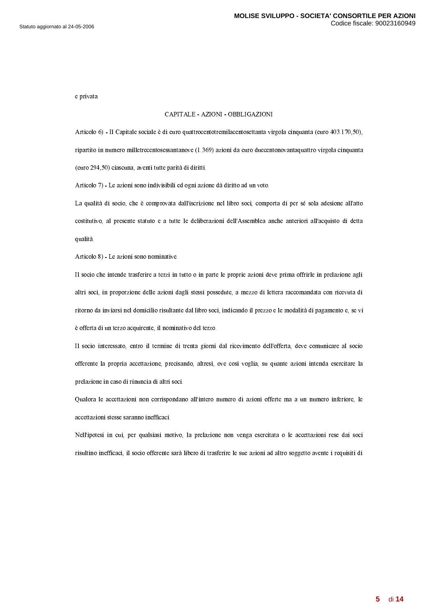e privata.

#### 4%;&%9"') %(& #& ) % 9&V%%(& #&

 $\ldots$  . In the contract of the contract of the contract of the contract of the contract of the contract of the contract of the contract of the contract of the contract of the contract of the contract of the contract of th . The contract of the contract of the contract of the contract of the contract of the contract of the contract of the contract of the contract of the contract of the contract of the contract of the contract of the contrac  $\mathcal{L}$  , and a set of the set of the set of the set of the set of the set of the set of the set of the set of the set of the set of the set of the set of the set of the set of the set of the set of the set of the set of

 $\overline{a}$  ,  $\overline{a}$  ,  $\overline{a}$  ,  $\overline{a}$  ,  $\overline{a}$  ,  $\overline{a}$  ,  $\overline{a}$  ,  $\overline{a}$  ,  $\overline{a}$  ,  $\overline{a}$  ,  $\overline{a}$  ,  $\overline{a}$  ,  $\overline{a}$  ,  $\overline{a}$  ,  $\overline{a}$  ,  $\overline{a}$  ,  $\overline{a}$  ,  $\overline{a}$  ,  $\overline{a}$  ,  $\overline{a}$  ,

 $\blacksquare$  and the solution of the solution of the solution of the solution of the solution of the solution of the solution of the solution of the solution of the solution of the solution of the solution of the solution of th  $\blacksquare$  . The state of the state of the state of the state of the state of the state of the state of the state of the state of the state of the state of the state of the state of the state of the state of the state of the qualità.

 $\overline{a}$  .  $\overline{a}$  .  $\overline{a}$  .  $\overline{a}$  .  $\overline{a}$  .  $\overline{a}$  .  $\overline{a}$  .  $\overline{a}$  .  $\overline{a}$  .  $\overline{a}$ 

Il socio che intende trasferire a terzi in tutto o in parte le proprie azioni deve prima offrirle in prelazione agli altri soci, in proporzione delle azioni dagli stessi possedute, a mezzo di lettera raccomandata con ricevuta di  $26.6$  . The contract of the contract of the contract of the contract of the contract of the contract of the contract of the contract of the contract of the contract of the contract of the contract of the contract of the  $\sim$  2008 - 2008 - 2008 - 2019 - 2019 - 2019 - 2019 - 2019 - 2019 - 2019 - 2019 - 2019 - 2019 - 2019 - 2019 - 2019 - 2019 - 2019 - 2019 - 2019 - 2019 - 2019 - 2019 - 2019 - 2019 - 2019 - 2019 - 2019 - 2019 - 2019 - 2019 -

 $\blacksquare$  and the contract of the contract of the contract of the contract of the contract of the contract of the contract of the contract of the contract of the contract of the contract of the contract of the contract of th  $\blacksquare$  . The state of the state of the state of the state of the state of the state of the state of the state of the state of the state of the state of the state of the state of the state of the state of the state of the  $\sim$  . The contract of the contract of the contract of the contract of the contract of the contract of the contract of the contract of the contract of the contract of the contract of the contract of the contract of the co

 $\blacksquare$  . The state of the state of the state of the state of the state of the state of the state of the state of the state of the state of the state of the state of the state of the state of the state of the state of the  $\blacksquare$  . The contract of the contract of the contract of the contract of the contract of the contract of the contract of the contract of the contract of the contract of the contract of the contract of the contract of the

. In the set of the state of the state of the state of the state of the state of the state of the state of the state of the state of the state of the state of the state of the state of the state of the state of the state risultino inefficaci, il socio offerente sarà libero di trasferire le sue azioni ad altro soggetto avente i requisiti di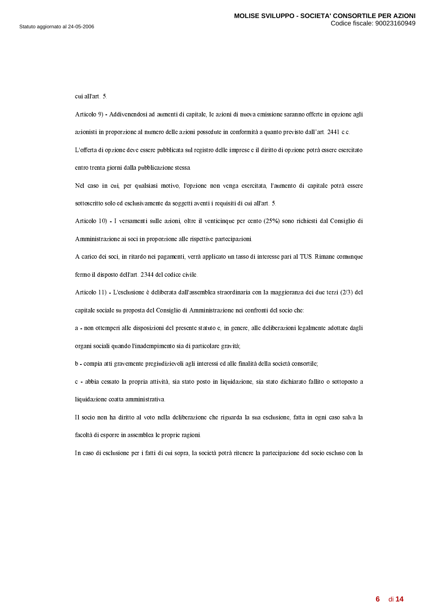cui all'art. 5.

 $\mathcal{L}$  . In the set of the set of the set of the set of the set of the set of the set of the set of the set of the set of the set of the set of the set of the set of the set of the set of the set of the set of the set o  $\mathbf{1}$  and  $\mathbf{1}$  and  $\mathbf{1}$  and  $\mathbf{1}$  and  $\mathbf{1}$  and  $\mathbf{1}$  and  $\mathbf{1}$  and  $\mathbf{1}$  and  $\mathbf{1}$  and  $\mathbf{1}$  and  $\mathbf{1}$  and  $\mathbf{1}$  and  $\mathbf{1}$  and  $\mathbf{1}$  and  $\mathbf{1}$  and  $\mathbf{1}$  and  $\mathbf{1}$  and  $\sim$  -contracts to the contracts of the contracts of the contracts of the contracts of the contracts of the contracts of the contracts of the contracts of the contracts of the contracts of the contracts of the contracts o -- 6 %
1== 5-0 <sup>0</sup> 0

Nel caso in cui, per qualsiasi motivo, l'opzione non venga esercitata, l'aumento di capitale potrà essere sottoscritto solo ed esclusivamente da soggetti aventi i requisiti di cui all'art. 5.

-D T. ) &,@072-01 -5 >- @H1B
2S[ a-.0SA 0%6%40 S6  $\overline{1}$  ,  $\overline{1}$  ,  $\overline{1}$  ,  $\overline{1}$  ,  $\overline{1}$  ,  $\overline{1}$  ,  $\overline{1}$  ,  $\overline{1}$  ,  $\overline{1}$  ,  $\overline{1}$  ,  $\overline{1}$  ,  $\overline{1}$  ,  $\overline{1}$  ,  $\overline{1}$  ,  $\overline{1}$  ,  $\overline{1}$  ,  $\overline{1}$  ,  $\overline{1}$  ,  $\overline{1}$  ,  $\overline{1}$  ,

 $\mathcal{L} = \mathcal{L} = \mathcal{L} = \mathcal{L} = \mathcal{L} = \mathcal{L} = \mathcal{L} = \mathcal{L} = \mathcal{L} = \mathcal{L} = \mathcal{L} = \mathcal{L} = \mathcal{L} = \mathcal{L} = \mathcal{L} = \mathcal{L} = \mathcal{L} = \mathcal{L} = \mathcal{L} = \mathcal{L} = \mathcal{L} = \mathcal{L} = \mathcal{L} = \mathcal{L} = \mathcal{L} = \mathcal{L} = \mathcal{L} = \mathcal{L} = \mathcal{L} = \mathcal{L} = \mathcal{L} = \mathcal$ fermo il disposto dell'art. 2344 del codice civile.

 $\mathcal{S}$  . In the state of the state of the state of the state of the state of the state of the state of the state of the state of the state of the state of the state of the state of the state of the state of the state of -0-012

0-640 6 -7 7 05% < 60A <sup>Y</sup>

 )-72
 6 0
056
 0012 <sup>&</sup>gt; - <sup>&</sup>gt; -6 =57 66 0 H16 ? 672
7 20-6 %@3U

 $\blacksquare$  . The state of the state of the state of the state of the state of the state of the state of the state of the state of the state of the state of the state of the state of the state of the state of the state of the

c - abbia cessato la propria attività, sia stato posto in liquidazione, sia stato dichiarato fallito o sottoposto a H165%-7 7 0@

 $\blacksquare$  . The state of the state of the state of the state of the state of the state of the state of the state of the state of the state of the state of the state of the state of the state of the state of the state of the <3-6 0
% 0 07-=-,

%

 $\Box$  and the state of the state of the state of the state of the state of the state of the state of the state of the state of the state of the state of the state of the state of the state of the state of the state of the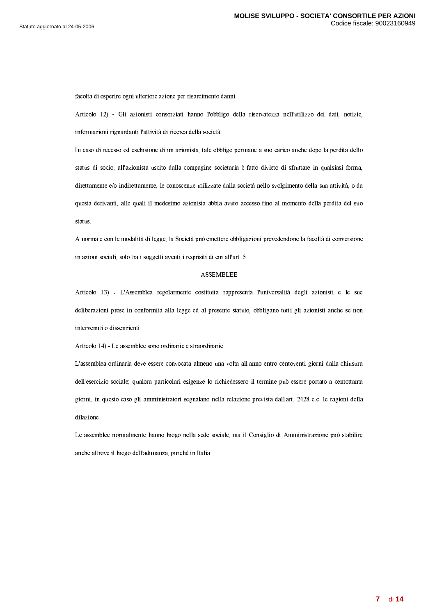$\bullet$  . The contract of the contract of the contract of the contract of the contract of the contract of the contract of the contract of the contract of the contract of the contract of the contract of the contract of the co

-Q . ) V% S5 0S05SAZ ?== Z6 C 0@55C ?1 55C6S6 >-5 > <7 5 16 ? @3-6 -6 03

In caso di recesso od esclusione di un azionista, tale obbligo permane a suo carico anche dopo la perdita dello status di socio; all'azionista uscito dalla compagine societaria è fatto divieto di sfruttare in qualsiasi forma,  $\dotsc$  . The contract of the contract of the contract of the contract of the contract of the contract of the contract of the contract of the contract of the contract of the contract of the contract of the contract of the c . The contract of the contract of the contract of the contract of the contract of the contract of the contract of the contract of the contract of the contract of the contract of the contract of the contract of the contrac status.

 $\mathcal{L}$  . The state of the state of the state of the state of the state of the state of the state of the state of the state of the state of the state of the state of the state of the state of the state of the state of th 50 <sup>&</sup>gt; 0--0 @ H1 0 6 1 ?

#### 2 "\$8 9""

 $\sim$  200 07-200 07-200 07-200 07-200 07-200 07-200 07-200 07-200 07-200 07-200 07-200 07-200 07-200 07-200 07-200 07-200 07-200 07-200 07-200 07-200 07-200 07-200 07-200 07-200 07-200 07-200 07-200 07-200 07-200 07-200 07 deliberazioni prese in conformità alla legge ed al presente statuto, obbligano tutti gli azionisti anche se non intervenuti o dissenzienti.

-- W. ) 9%0 07-=-06 ,-06

. The set of the set of the set of the set of the set of the set of the set of the set of the set of the set of the set of the set of the set of the set of the set of the set of the set of the set of the set of the set of dell'esercizio sociale; qualora particolari esigenze lo richiedessero il termine può essere portato a centottanta giorni, in questo caso gli amministratori segnalano nella relazione prevista dall'art. 2428 c.c. le ragioni della dilazione.

9 0 07-=B7 7 AJ1- J06B0 >7 - ,40 -6,-7 72 052
1ES0=  anche altrove il luogo dell'adunanza, purché in Italia.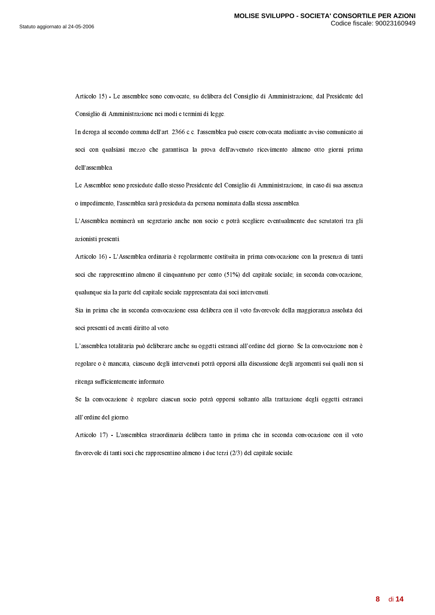Articolo 15) - Le assemblee sono convocate, su delibera del Consiglio di Amministrazione, dal Presidente del Consiglio di Amministrazione nei modi e termini di legge.

In deroga al secondo comma dell'art. 2366 c.c. l'assemblea può essere convocata mediante avviso comunicato ai soci con qualsiasi mezzo che garantisca la prova dell'avvenuto ricevimento almeno otto giorni prima dell'assemblea.

Le Assemblee sono presiedute dallo stesso Presidente del Consiglio di Amministrazione, in caso di sua assenza o impedimento, l'assemblea sarà presieduta da persona nominata dalla stessa assemblea.

L'Assemblea nominerà un segretario anche non socio e potrà scegliere eventualmente due scrutatori tra gli azionisti presenti.

Articolo 16) - L'Assemblea ordinaria è regolarmente costituita in prima convocazione con la presenza di tanti soci che rappresentino almeno il cinquantuno per cento (51%) del capitale sociale; in seconda convocazione, qualunque sia la parte del capitale sociale rappresentata dai soci intervenuti.

Sia in prima che in seconda convocazione essa delibera con il voto favorevole della maggioranza assoluta dei soci presenti ed aventi diritto al voto.

L'assemblea totalitaria può deliberare anche su oggetti estranei all'ordine del giorno. Se la convocazione non è regolare o è mancata, ciascuno degli intervenuti potrà opporsi alla discussione degli argomenti sui quali non si ritenga sufficientemente informato.

Se la convocazione è regolare ciascun socio potrà opporsi soltanto alla trattazione degli oggetti estranei all'ordine del giorno.

Articolo 17) - L'assemblea straordinaria delibera tanto in prima che in seconda convocazione con il voto favorevole di tanti soci che rappresentino almeno i due terzi  $(2/3)$  del capitale sociale.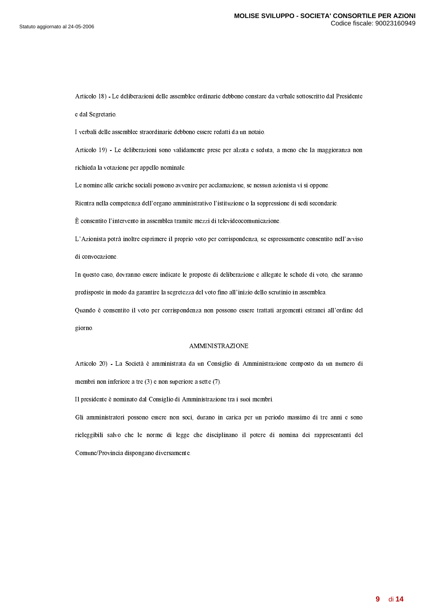-J . ) 9-6 =56 -0 07%= -6 %6==20-6,@=0026 ; 06 e dal Segretario.

. A construction of the contract of the contract of the contract of  $\mathcal{A}$ 

 $\alpha$  . In the set of the set of the set of the set of the set of the set of the set of the set of the set of the set of the set of the set of the set of the set of the set of the set of the set of the set of the set of th  $\overline{a}$  and  $\overline{a}$  and  $\overline{a}$  and  $\overline{a}$  and  $\overline{a}$  and  $\overline{a}$  and  $\overline{a}$  and  $\overline{a}$  and  $\overline{a}$  and  $\overline{a}$  and  $\overline{a}$  and  $\overline{a}$  and  $\overline{a}$  and  $\overline{a}$  and  $\overline{a}$  and  $\overline{a}$  and  $\overline{a}$  and

 $\blacksquare$  . The contract of the contract of the contract of the contract of the contract of the contract of the contract of the contract of the contract of the contract of the contract of the contract of the contract of the

 $-$  . And the state of the state of the state of the state of the state of the state of the state of the state of the state of the state of the state of the state of the state of the state of the state of the state of the

 $-$  0.000  $-$  0.000  $-$  0.000  $-$  0.000  $-$  0.000  $-$  0.000  $-$  0.000  $-$  0.000  $-$  0.000  $-$  0.000  $-$  0.000  $-$  0.000  $-$  0.000  $-$  0.000  $-$  0.000  $-$  0.000  $-$  0.000  $-$  0.000  $-$  0.000  $-$  0.000  $-$  0.000  $-$  0.000

 $-$  1. The set of the set of the set of the set of the set of the set of the set of the set of the set of the set of the set of the set of the set of the set of the set of the set of the set of the set of the set of the s di convocazione.

In questo caso, dovranno essere indicate le proposte di deliberazione e allegate le schede di voto, che saranno results to the second contract of the contract of the contract of the contract of the contract of the contract of the contract of the contract of the contract of the contract of the contract of the contract of the contrac

Quando è consentito il voto per corrispondenza non possono essere trattati argomenti estranei all'ordine del giorno.

#### $\mathbf{S}$  . The state  $\mathbf{S}$  and  $\mathbf{S}$  are  $\mathbf{S}$  . The state  $\mathbf{S}$

-'T. ) 9\*38NS7 72 086S1F40 '6-7 7 05J72
0'6S1D172'6 . The set of the set of the set of the set of the set of the set of the set of the set of the set of the set of the set of the set of the set of the set of the set of the set of the set of the set of the set of the set of

&  06%N%7 640 6 -7 7 05,-01 7 7-=

. The contraction of the contraction of the contraction of the contraction of the contraction of the contraction of the contraction of the contraction of the contraction of the contraction of the contraction of the contra rieleggibili salvo che le norme di legge che disciplinano il potere di nomina dei rappresentanti del and the contract of the contract of the contract of the contract of the contract of the contract of the contract of the contract of the contract of the contract of the contract of the contract of the contract of the contra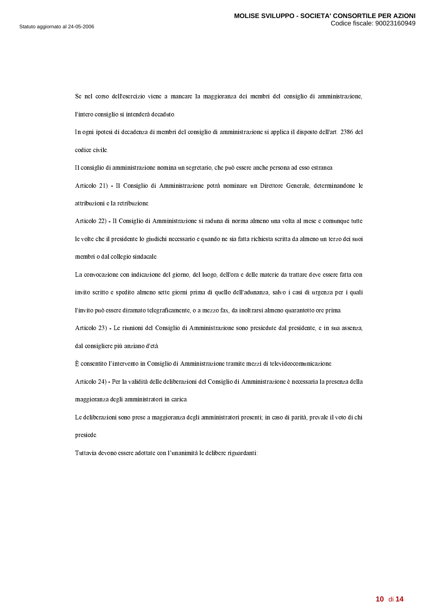$\bullet$  . The set of the set of the set of the set of the set of the set of the set of the set of the set of the set of the set of the set of the set of the set of the set of the set of the set of the set of the set of the s ? 0 20 63-661

&B 0666567 7-=60 267 7 050 6 0 026 ? <sup>R</sup> 6 codice civile.

 $\mathcal{L}$  and the contract of the contract of the contract of the contract of the contract of the contract of the contract of the contract of the contract of the contract of the contract of the contract of the contract of

 $\alpha$  . In the set of the set of the set of the set of the set of the set of the set of the set of the set of the set of the set of the set of the set of the set of the set of the set of the set of the set of the set of th =15,-=15

- . ) &40 6-7 7 052061267 27 21%@27 0721H1-1 . A 16 M  $\,$  1 M  $\,$  1 M  $\,$  1 M  $\,$  1 M  $\,$  1 M  $\,$  1 M  $\,$  1 M  $\,$  1 M  $\,$  1 M  $\,$  1 M  $\,$  1 M  $\,$  1 M  $\,$  1 M  $\,$  1 M  $\,$  1 M  $\,$  1 M  $\,$  1 M  $\,$  1 M  $\,$  1 M  $\,$  1 M  $\,$  1 M  $\,$  1 M  $\,$  1 M  $\,$  7 7-= 6 206

 $\blacksquare$  . The state of the state of the state of the state of the state of the state of the state of the state of the state of the state of the state of the state of the state of the state of the state of the state of the invito scritto e spedito almeno sette giorni prima di quello dell'adunanza, salvo i casi di urgenza per i quali  $\blacksquare$  . The contract of the contract of the contract of the contract of the contract of the contract of the contract of the contract of the contract of the contract of the contract of the contract of the contract of the

 $-$  R  $-$  R  $-$  R  $-$  R  $-$  R  $-$  R  $-$  R  $-$  R  $-$  R  $-$  R  $-$  R  $-$  R  $-$  R  $-$  R  $-$  R  $-$  R  $-$  R  $-$  R  $-$  R  $-$  R  $-$  R  $-$  R  $-$  R  $-$  R  $-$  R  $-$  R  $-$  R  $-$  R  $-$  R  $-$  R  $-$  R  $-$  R  $-$  R  $-$  R  $-$  R  $-$  R  $-$  R dal consigliere più anziano d'età.

/ 0 <sup>M</sup> @B40 6-727 05,7 %7 55 6 @67215

-W . ) ;@ 63-6 %6 =5640 6 -7 7 05%N% <sup>0</sup> 0%
 05-6  $\mathbf{r}$  , and  $\mathbf{r}$  , and  $\mathbf{r}$  , and  $\mathbf{r}$  , and  $\mathbf{r}$  , and  $\mathbf{r}$ 

 $-$  2008 - 2008 - 2008 - 2008 - 2008 - 2008 - 2008 - 2008 - 2008 - 2008 - 2008 - 2008 - 2008 - 2008 - 2008 - 2008 - 2008 - 2008 - 2008 - 2008 - 2008 - 2008 - 2008 - 2008 - 2008 - 2008 - 2008 - 2008 - 2008 - 2008 - 2008 presiede.

 $-$  . The set of the set of the set of the set of the set of the set of the set of the set of the set of the set of the set of the set of the set of the set of the set of the set of the set of the set of the set of the se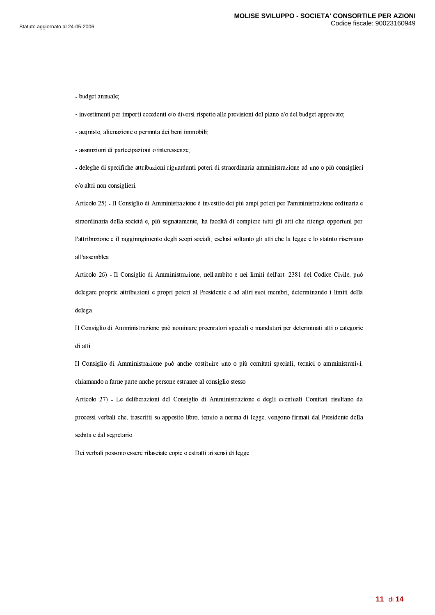- budget annuale;

- investimenti per importi eccedenti e/o diversi rispetto alle previsioni del piano e/o del budget approvato;

- acquisto, alienazione o permuta dei beni immobili;

- assunzioni di partecipazioni o interessenze;

- deleghe di specifiche attribuzioni riguardanti poteri di straordinaria amministrazione ad uno o più consiglieri e/o altri non consiglieri.

Articolo 25) - Il Consiglio di Amministrazione è investito dei più ampi poteri per l'amministrazione ordinaria e straordinaria della società e, più segnatamente, ha facoltà di compiere tutti gli atti che ritenga opportuni per l'attribuzione e il raggiungimento degli scopi sociali, esclusi soltanto gli atti che la legge e lo statuto riservano all'assemblea.

Articolo 26) - Il Consiglio di Amministrazione, nell'ambito e nei limiti dell'art. 2381 del Codice Civile, può delegare proprie attribuzioni e propri poteri al Presidente e ad altri suoi membri, determinando i limiti della delega.

Il Consiglio di Amministrazione può nominare procuratori speciali o mandatari per determinati atti o categorie di atti.

Il Consiglio di Amministrazione può anche costituire uno o più comitati speciali, tecnici o amministrativi, chiamando a farne parte anche persone estranee al consiglio stesso.

Articolo 27) - Le deliberazioni del Consiglio di Amministrazione e degli eventuali Comitati risultano da processi verbali che, trascritti su apposito libro, tenuto a norma di legge, vengono firmati dal Presidente della seduta e dal segretario.

Dei verbali possono essere rilasciate copie o estratti ai sensi di legge.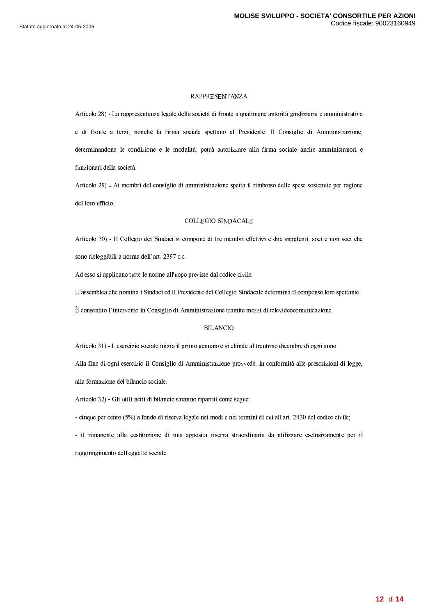#### **RAPPRESENTANZA**

Articolo 28) - La rappresentanza legale della società di fronte a qualunque autorità giudiziaria e amministrativa e di fronte a terzi, nonché la firma sociale spettano al Presidente. Il Consiglio di Amministrazione, determinandone le condizione e le modalità, potrà autorizzare alla firma sociale anche amministratori e funzionari della società.

Articolo 29) - Ai membri del consiglio di amministrazione spetta il rimborso delle spese sostenute per ragione del loro ufficio.

#### **COLLEGIO SINDACALE**

Articolo 30) - Il Collegio dei Sindaci si compone di tre membri effettivi e due supplenti, soci e non soci che sono rieleggibili a norma dell'art. 2397 c.c.

Ad esso si applicano tutte le norme all'uopo previste dal codice civile.

L'assemblea che nomina i Sindaci ed il Presidente del Collegio Sindacale determina il compenso loro spettante.

È consentito l'intervento in Consiglio di Amministrazione tramite mezzi di televideocomunicazione.

## **BILANCIO**

Articolo 31) - L'esercizio sociale inizia il primo gennaio e si chiude al trentuno dicembre di ogni anno.

Alla fine di ogni esercizio il Consiglio di Amministrazione provvede, in conformità alle prescrizioni di legge, alla formazione del bilancio sociale.

Articolo 32) - Gli utili netti di bilancio saranno ripartiti come segue:

- cinque per cento (5%) a fondo di riserva legale nei modi e nei termini di cui all'art. 2430 del codice civile;

- il rimanente alla costituzione di una apposita riserva straordinaria da utilizzare esclusivamente per il raggiungimento dell'oggetto sociale.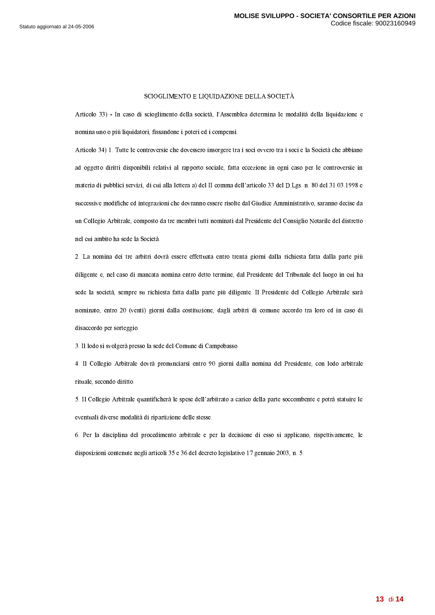### SCIOGLIMENTO E LIQUIDAZIONE DELLA SOCIETÀ

Articolo 33) - In caso di scioglimento della società, l'Assemblea determina le modalità della liquidazione e nomina uno o più liquidatori, fissandone i poteri ed i compensi.

Articolo 34) 1. Tutte le controversie che dovessero insorgere tra i soci ovvero tra i soci e la Società che abbiano ad oggetto diritti disponibili relativi al rapporto sociale, fatta eccezione in ogni caso per le controversie in materia di pubblici servizi, di cui alla lettera a) del II comma dell'articolo 33 del D.Lgs. n. 80 del 31.03.1998 e successive modifiche ed integrazioni che dovranno essere risolte dal Giudice Amministrativo, saranno decise da un Collegio Arbitrale, composto da tre membri tutti nominati dal Presidente del Consiglio Notarile del distretto nel cui ambito ha sede la Società.

2. La nomina dei tre arbitri dovrà essere effettuata entro trenta giorni dalla richiesta fatta dalla parte più diligente e, nel caso di mancata nomina entro detto termine, dal Presidente del Tribunale del luogo in cui ha sede la società, sempre su richiesta fatta dalla parte più diligente. Il Presidente del Collegio Arbitrale sarà nominato, entro 20 (venti) giorni dalla costituzione, dagli arbitri di comune accordo tra loro ed in caso di disaccordo per sorteggio.

3. Il lodo si svolgerà presso la sede del Comune di Campobasso.

4. Il Collegio Arbitrale dovrà pronunciarsi entro 90 giorni dalla nomina del Presidente, con lodo arbitrale rituale, secondo diritto.

5. Il Collegio Arbitrale quantificherà le spese dell'arbitrato a carico della parte soccombente e potrà statuire le eventuali diverse modalità di ripartizione delle stesse.

6. Per la disciplina del procedimento arbitrale e per la decisione di esso si applicano, rispettivamente, le disposizioni contenute negli articoli 35 e 36 del decreto legislativo 17 gennaio 2003, n. 5.